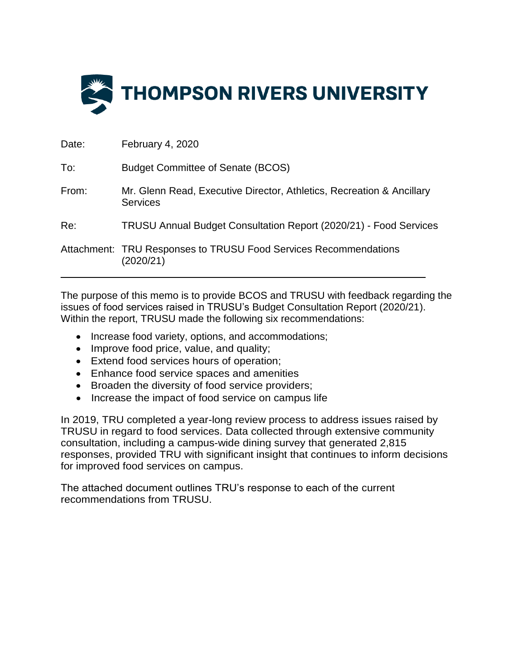

| Date: | February 4, 2020                                                                         |
|-------|------------------------------------------------------------------------------------------|
| To:   | <b>Budget Committee of Senate (BCOS)</b>                                                 |
| From: | Mr. Glenn Read, Executive Director, Athletics, Recreation & Ancillary<br><b>Services</b> |
| Re:   | TRUSU Annual Budget Consultation Report (2020/21) - Food Services                        |
|       | Attachment: TRU Responses to TRUSU Food Services Recommendations<br>(2020/21)            |

The purpose of this memo is to provide BCOS and TRUSU with feedback regarding the issues of food services raised in TRUSU's Budget Consultation Report (2020/21). Within the report, TRUSU made the following six recommendations:

- Increase food variety, options, and accommodations;
- Improve food price, value, and quality;
- Extend food services hours of operation;
- Enhance food service spaces and amenities
- Broaden the diversity of food service providers;
- Increase the impact of food service on campus life

In 2019, TRU completed a year-long review process to address issues raised by TRUSU in regard to food services. Data collected through extensive community consultation, including a campus-wide dining survey that generated 2,815 responses, provided TRU with significant insight that continues to inform decisions for improved food services on campus.

The attached document outlines TRU's response to each of the current recommendations from TRUSU.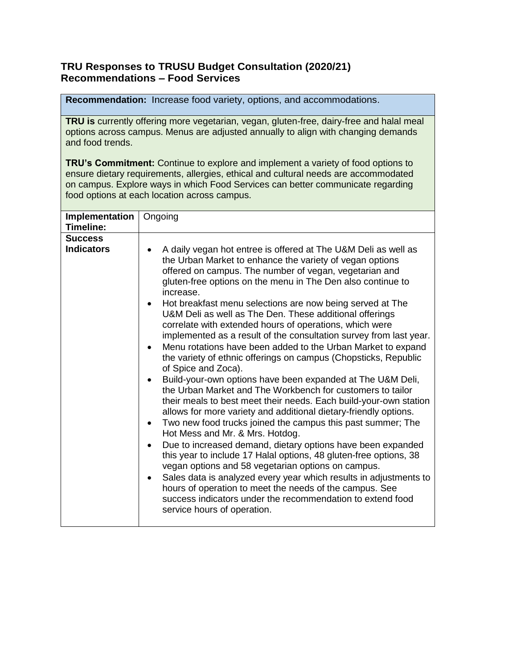## **TRU Responses to TRUSU Budget Consultation (2020/21) Recommendations – Food Services**

**Recommendation:** Increase food variety, options, and accommodations.

**TRU is** currently offering more vegetarian, vegan, gluten-free, dairy-free and halal meal options across campus. Menus are adjusted annually to align with changing demands and food trends.

**TRU's Commitment:** Continue to explore and implement a variety of food options to ensure dietary requirements, allergies, ethical and cultural needs are accommodated on campus. Explore ways in which Food Services can better communicate regarding food options at each location across campus.

| Implementation<br>Timeline:         | Ongoing                                                                                                                                                                                                                                                                                                                                                                                                                                                                                                                                                                                                                                                                                                                                                                                                                                                                                                                                                                                                                                                                                                                                                                                                                                                                                                                                                                                                                                                                                                                                            |
|-------------------------------------|----------------------------------------------------------------------------------------------------------------------------------------------------------------------------------------------------------------------------------------------------------------------------------------------------------------------------------------------------------------------------------------------------------------------------------------------------------------------------------------------------------------------------------------------------------------------------------------------------------------------------------------------------------------------------------------------------------------------------------------------------------------------------------------------------------------------------------------------------------------------------------------------------------------------------------------------------------------------------------------------------------------------------------------------------------------------------------------------------------------------------------------------------------------------------------------------------------------------------------------------------------------------------------------------------------------------------------------------------------------------------------------------------------------------------------------------------------------------------------------------------------------------------------------------------|
| <b>Success</b><br><b>Indicators</b> | A daily vegan hot entree is offered at The U&M Deli as well as<br>the Urban Market to enhance the variety of vegan options<br>offered on campus. The number of vegan, vegetarian and<br>gluten-free options on the menu in The Den also continue to<br>increase.<br>Hot breakfast menu selections are now being served at The<br>$\bullet$<br>U&M Deli as well as The Den. These additional offerings<br>correlate with extended hours of operations, which were<br>implemented as a result of the consultation survey from last year.<br>Menu rotations have been added to the Urban Market to expand<br>$\bullet$<br>the variety of ethnic offerings on campus (Chopsticks, Republic<br>of Spice and Zoca).<br>Build-your-own options have been expanded at The U&M Deli,<br>the Urban Market and The Workbench for customers to tailor<br>their meals to best meet their needs. Each build-your-own station<br>allows for more variety and additional dietary-friendly options.<br>Two new food trucks joined the campus this past summer; The<br>$\bullet$<br>Hot Mess and Mr. & Mrs. Hotdog.<br>Due to increased demand, dietary options have been expanded<br>$\bullet$<br>this year to include 17 Halal options, 48 gluten-free options, 38<br>vegan options and 58 vegetarian options on campus.<br>Sales data is analyzed every year which results in adjustments to<br>$\bullet$<br>hours of operation to meet the needs of the campus. See<br>success indicators under the recommendation to extend food<br>service hours of operation. |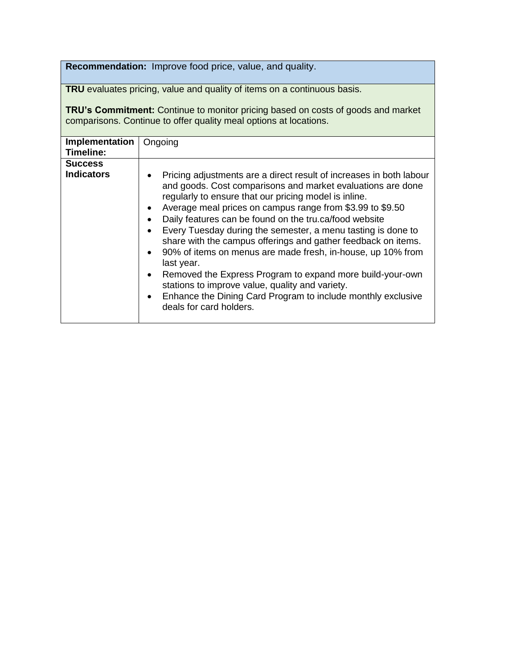**Recommendation:** Improve food price, value, and quality.

**TRU** evaluates pricing, value and quality of items on a continuous basis.

**TRU's Commitment:** Continue to monitor pricing based on costs of goods and market comparisons. Continue to offer quality meal options at locations.

| Implementation<br>Timeline:         | Ongoing                                                                                                                                                                                                                                                                                                                                                                                                                                                                                                                                                                                                                                                                                                                                                                                                                                |
|-------------------------------------|----------------------------------------------------------------------------------------------------------------------------------------------------------------------------------------------------------------------------------------------------------------------------------------------------------------------------------------------------------------------------------------------------------------------------------------------------------------------------------------------------------------------------------------------------------------------------------------------------------------------------------------------------------------------------------------------------------------------------------------------------------------------------------------------------------------------------------------|
| <b>Success</b><br><b>Indicators</b> | Pricing adjustments are a direct result of increases in both labour<br>$\bullet$<br>and goods. Cost comparisons and market evaluations are done<br>regularly to ensure that our pricing model is inline.<br>Average meal prices on campus range from \$3.99 to \$9.50<br>$\bullet$<br>Daily features can be found on the tru.ca/food website<br>$\bullet$<br>Every Tuesday during the semester, a menu tasting is done to<br>$\bullet$<br>share with the campus offerings and gather feedback on items.<br>90% of items on menus are made fresh, in-house, up 10% from<br>$\bullet$<br>last year.<br>Removed the Express Program to expand more build-your-own<br>$\bullet$<br>stations to improve value, quality and variety.<br>Enhance the Dining Card Program to include monthly exclusive<br>$\bullet$<br>deals for card holders. |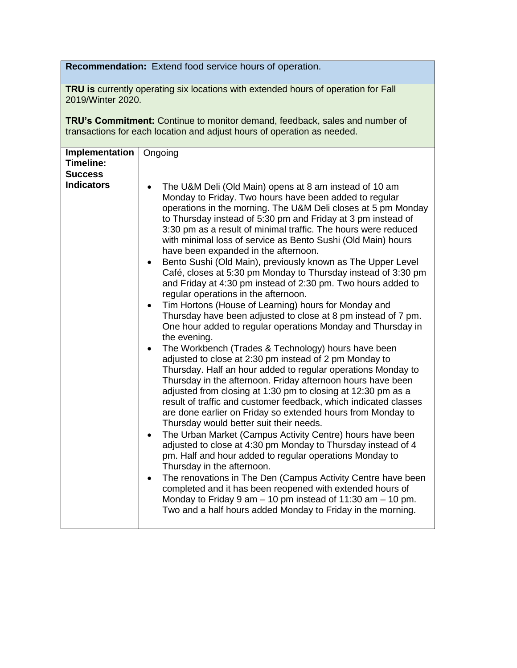**Recommendation:** Extend food service hours of operation.

**TRU is** currently operating six locations with extended hours of operation for Fall 2019/Winter 2020.

**TRU's Commitment:** Continue to monitor demand, feedback, sales and number of transactions for each location and adjust hours of operation as needed.

| <b>Success</b><br><b>Indicators</b><br>The U&M Deli (Old Main) opens at 8 am instead of 10 am<br>Monday to Friday. Two hours have been added to regular<br>operations in the morning. The U&M Deli closes at 5 pm Monday<br>to Thursday instead of 5:30 pm and Friday at 3 pm instead of<br>3:30 pm as a result of minimal traffic. The hours were reduced<br>with minimal loss of service as Bento Sushi (Old Main) hours<br>have been expanded in the afternoon.                                                                                                                                                                                                                                                                                                                                                                                                                                                                                                                                                                                                                                                                                                                                                                                                                                                                                                                     | Implementation<br>Timeline: | Ongoing                                                     |
|----------------------------------------------------------------------------------------------------------------------------------------------------------------------------------------------------------------------------------------------------------------------------------------------------------------------------------------------------------------------------------------------------------------------------------------------------------------------------------------------------------------------------------------------------------------------------------------------------------------------------------------------------------------------------------------------------------------------------------------------------------------------------------------------------------------------------------------------------------------------------------------------------------------------------------------------------------------------------------------------------------------------------------------------------------------------------------------------------------------------------------------------------------------------------------------------------------------------------------------------------------------------------------------------------------------------------------------------------------------------------------------|-----------------------------|-------------------------------------------------------------|
| Café, closes at 5:30 pm Monday to Thursday instead of 3:30 pm<br>and Friday at 4:30 pm instead of 2:30 pm. Two hours added to<br>regular operations in the afternoon.<br>Tim Hortons (House of Learning) hours for Monday and<br>$\bullet$<br>Thursday have been adjusted to close at 8 pm instead of 7 pm.<br>One hour added to regular operations Monday and Thursday in<br>the evening.<br>The Workbench (Trades & Technology) hours have been<br>adjusted to close at 2:30 pm instead of 2 pm Monday to<br>Thursday. Half an hour added to regular operations Monday to<br>Thursday in the afternoon. Friday afternoon hours have been<br>adjusted from closing at 1:30 pm to closing at 12:30 pm as a<br>result of traffic and customer feedback, which indicated classes<br>are done earlier on Friday so extended hours from Monday to<br>Thursday would better suit their needs.<br>The Urban Market (Campus Activity Centre) hours have been<br>٠<br>adjusted to close at 4:30 pm Monday to Thursday instead of 4<br>pm. Half and hour added to regular operations Monday to<br>Thursday in the afternoon.<br>The renovations in The Den (Campus Activity Centre have been<br>٠<br>completed and it has been reopened with extended hours of<br>Monday to Friday 9 am $-$ 10 pm instead of 11:30 am $-$ 10 pm.<br>Two and a half hours added Monday to Friday in the morning. |                             | Bento Sushi (Old Main), previously known as The Upper Level |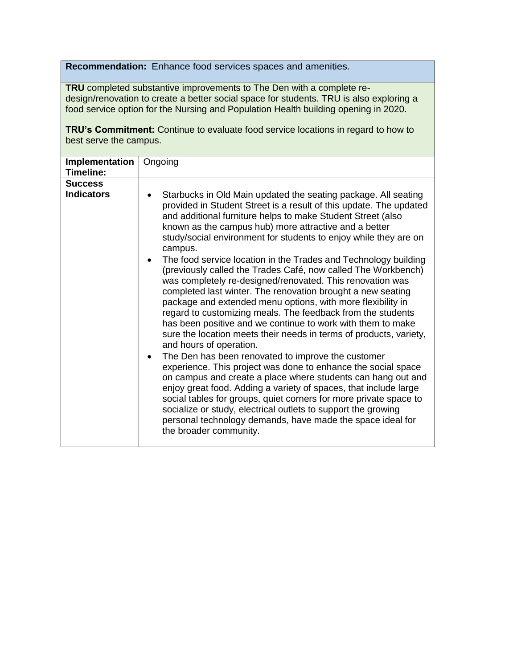**Recommendation:** Enhance food services spaces and amenities.

**TRU** completed substantive improvements to The Den with a complete redesign/renovation to create a better social space for students. TRU is also exploring a food service option for the Nursing and Population Health building opening in 2020.

**TRU's Commitment:** Continue to evaluate food service locations in regard to how to best serve the campus.

| Ongoing                                                                                                                                                                                                                                                                                                                                                                                                                                                                                                                                                                                                                                                                                                                                                                                                                                                                                                                                                                                                                                                                                                                                                                                                                                                                                                                                                                                                         |
|-----------------------------------------------------------------------------------------------------------------------------------------------------------------------------------------------------------------------------------------------------------------------------------------------------------------------------------------------------------------------------------------------------------------------------------------------------------------------------------------------------------------------------------------------------------------------------------------------------------------------------------------------------------------------------------------------------------------------------------------------------------------------------------------------------------------------------------------------------------------------------------------------------------------------------------------------------------------------------------------------------------------------------------------------------------------------------------------------------------------------------------------------------------------------------------------------------------------------------------------------------------------------------------------------------------------------------------------------------------------------------------------------------------------|
| Starbucks in Old Main updated the seating package. All seating<br>provided in Student Street is a result of this update. The updated<br>and additional furniture helps to make Student Street (also<br>known as the campus hub) more attractive and a better<br>study/social environment for students to enjoy while they are on<br>campus.<br>The food service location in the Trades and Technology building<br>(previously called the Trades Café, now called The Workbench)<br>was completely re-designed/renovated. This renovation was<br>completed last winter. The renovation brought a new seating<br>package and extended menu options, with more flexibility in<br>regard to customizing meals. The feedback from the students<br>has been positive and we continue to work with them to make<br>sure the location meets their needs in terms of products, variety,<br>and hours of operation.<br>The Den has been renovated to improve the customer<br>$\bullet$<br>experience. This project was done to enhance the social space<br>on campus and create a place where students can hang out and<br>enjoy great food. Adding a variety of spaces, that include large<br>social tables for groups, quiet corners for more private space to<br>socialize or study, electrical outlets to support the growing<br>personal technology demands, have made the space ideal for<br>the broader community. |
|                                                                                                                                                                                                                                                                                                                                                                                                                                                                                                                                                                                                                                                                                                                                                                                                                                                                                                                                                                                                                                                                                                                                                                                                                                                                                                                                                                                                                 |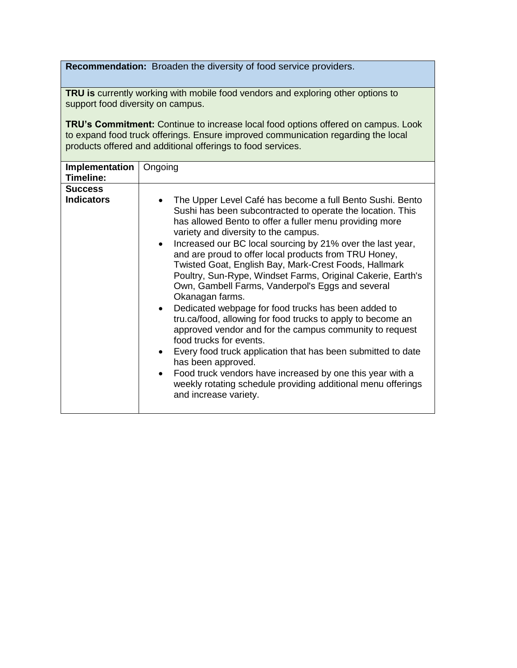**Recommendation:** Broaden the diversity of food service providers.

**TRU is** currently working with mobile food vendors and exploring other options to support food diversity on campus.

**TRU's Commitment:** Continue to increase local food options offered on campus. Look to expand food truck offerings. Ensure improved communication regarding the local products offered and additional offerings to food services.

| Implementation<br>Timeline:         | Ongoing                                                                                                                                                                                                                                                                                                                                                                                                                                                                                                                                                                                                                                                                                                                                                                                                                                                                                                                                                                                                               |
|-------------------------------------|-----------------------------------------------------------------------------------------------------------------------------------------------------------------------------------------------------------------------------------------------------------------------------------------------------------------------------------------------------------------------------------------------------------------------------------------------------------------------------------------------------------------------------------------------------------------------------------------------------------------------------------------------------------------------------------------------------------------------------------------------------------------------------------------------------------------------------------------------------------------------------------------------------------------------------------------------------------------------------------------------------------------------|
| <b>Success</b><br><b>Indicators</b> | The Upper Level Café has become a full Bento Sushi. Bento<br>Sushi has been subcontracted to operate the location. This<br>has allowed Bento to offer a fuller menu providing more<br>variety and diversity to the campus.<br>Increased our BC local sourcing by 21% over the last year,<br>$\bullet$<br>and are proud to offer local products from TRU Honey,<br>Twisted Goat, English Bay, Mark-Crest Foods, Hallmark<br>Poultry, Sun-Rype, Windset Farms, Original Cakerie, Earth's<br>Own, Gambell Farms, Vanderpol's Eggs and several<br>Okanagan farms.<br>Dedicated webpage for food trucks has been added to<br>tru.ca/food, allowing for food trucks to apply to become an<br>approved vendor and for the campus community to request<br>food trucks for events.<br>Every food truck application that has been submitted to date<br>has been approved.<br>Food truck vendors have increased by one this year with a<br>weekly rotating schedule providing additional menu offerings<br>and increase variety. |